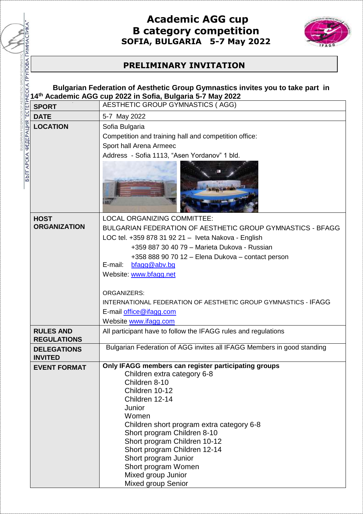

## **PRELIMINARY INVITATION**

ETIC GROUP GYMNAST

**BUILGARIAN FEDERATION OF AFS** 

|                                                                                                                                                                                         | <b>B</b> category competition<br>SOFIA, BULGARIA 5-7 May 2022                                                                                                                                                                                                                                                                                                                                             |  |  |  |
|-----------------------------------------------------------------------------------------------------------------------------------------------------------------------------------------|-----------------------------------------------------------------------------------------------------------------------------------------------------------------------------------------------------------------------------------------------------------------------------------------------------------------------------------------------------------------------------------------------------------|--|--|--|
| <b>PRELIMINARY INVITATION</b>                                                                                                                                                           |                                                                                                                                                                                                                                                                                                                                                                                                           |  |  |  |
| Bulgarian Federation of Aesthetic Group Gymnastics invites you to take part in<br>14th Academic AGG cup 2022 in Sofia, Bulgaria 5-7 May 2022<br><b>AESTHETIC GROUP GYMNASTICS (AGG)</b> |                                                                                                                                                                                                                                                                                                                                                                                                           |  |  |  |
| <b>SPORT</b><br><b>DATE</b>                                                                                                                                                             | 5-7 May 2022                                                                                                                                                                                                                                                                                                                                                                                              |  |  |  |
| <b>LOCATION</b>                                                                                                                                                                         | Sofia Bulgaria                                                                                                                                                                                                                                                                                                                                                                                            |  |  |  |
| БЪЛГАРСКА ФЕДЕРАЦИЯ "ЕСТЕТИЧЕСКА ГРУПОВА ГИМНАСТИК                                                                                                                                      | Competition and training hall and competition office:<br>Sport hall Arena Armeec<br>Address - Sofia 1113, "Asen Yordanov" 1 bld.                                                                                                                                                                                                                                                                          |  |  |  |
| <b>HOST</b><br><b>ORGANIZATION</b>                                                                                                                                                      | <b>LOCAL ORGANIZING COMMITTEE:</b><br><b>BULGARIAN FEDERATION OF AESTHETIC GROUP GYMNASTICS - BFAGG</b><br>LOC tel. +359 878 31 92 21 - Iveta Nakova - English<br>+359 887 30 40 79 - Marieta Dukova - Russian<br>+358 888 90 70 12 - Elena Dukova - contact person<br>E-mail:                                                                                                                            |  |  |  |
|                                                                                                                                                                                         | bfagg@abv.bg<br>Website: www.bfagg.net<br><b>ORGANIZERS:</b><br><u> INTERNATIONAL FEDERATION OF AESTHETIC GROUP GYMNASTICS - IFAGG</u><br>E-mail office@ifagg.com<br>Website www.ifagg.com                                                                                                                                                                                                                |  |  |  |
| <b>RULES AND</b><br><b>REGULATIONS</b>                                                                                                                                                  | All participant have to follow the IFAGG rules and regulations                                                                                                                                                                                                                                                                                                                                            |  |  |  |
| <b>DELEGATIONS</b><br><b>INVITED</b>                                                                                                                                                    | Bulgarian Federation of AGG invites all IFAGG Members in good standing                                                                                                                                                                                                                                                                                                                                    |  |  |  |
| <b>EVENT FORMAT</b>                                                                                                                                                                     | Only IFAGG members can register participating groups<br>Children extra category 6-8<br>Children 8-10<br>Children 10-12<br>Children 12-14<br>Junior<br>Women<br>Children short program extra category 6-8<br>Short program Children 8-10<br>Short program Children 10-12<br>Short program Children 12-14<br>Short program Junior<br>Short program Women<br>Mixed group Junior<br><b>Mixed group Senior</b> |  |  |  |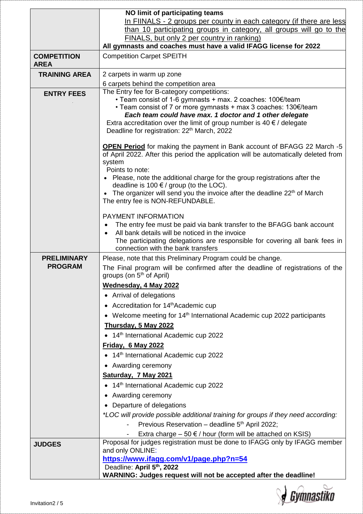|                                   | NO limit of participating teams                                                                                                                                                                                                                                                                                                                                                                                                                           |  |  |
|-----------------------------------|-----------------------------------------------------------------------------------------------------------------------------------------------------------------------------------------------------------------------------------------------------------------------------------------------------------------------------------------------------------------------------------------------------------------------------------------------------------|--|--|
|                                   | In FIINALS - 2 groups per county in each category (if there are less<br>than 10 participating groups in category, all groups will go to the                                                                                                                                                                                                                                                                                                               |  |  |
|                                   | FINALS, but only 2 per country in ranking)                                                                                                                                                                                                                                                                                                                                                                                                                |  |  |
|                                   | All gymnasts and coaches must have a valid IFAGG license for 2022                                                                                                                                                                                                                                                                                                                                                                                         |  |  |
| <b>COMPETITION</b><br><b>AREA</b> | <b>Competition Carpet SPEITH</b>                                                                                                                                                                                                                                                                                                                                                                                                                          |  |  |
| <b>TRAINING AREA</b>              | 2 carpets in warm up zone                                                                                                                                                                                                                                                                                                                                                                                                                                 |  |  |
|                                   | 6 carpets behind the competition area<br>The Entry fee for B-category competitions:                                                                                                                                                                                                                                                                                                                                                                       |  |  |
| <b>ENTRY FEES</b>                 | • Team consist of 1-6 gymnasts + max. 2 coaches: 100€/team<br>• Team consist of 7 or more gymnasts + max 3 coaches: 130€/team<br>Each team could have max. 1 doctor and 1 other delegate<br>Extra accreditation over the limit of group number is 40 $\epsilon$ / delegate<br>Deadline for registration: 22 <sup>th</sup> March, 2022                                                                                                                     |  |  |
|                                   | OPEN Period for making the payment in Bank account of BFAGG 22 March -5<br>of April 2022. After this period the application will be automatically deleted from<br>system<br>Points to note:<br>Please, note the additional charge for the group registrations after the<br>deadline is 100 $\epsilon$ / group (to the LOC).<br>• The organizer will send you the invoice after the deadline 22 <sup>th</sup> of March<br>The entry fee is NON-REFUNDABLE. |  |  |
|                                   | PAYMENT INFORMATION<br>The entry fee must be paid via bank transfer to the BFAGG bank account<br>All bank details will be noticed in the invoice<br>$\bullet$<br>The participating delegations are responsible for covering all bank fees in<br>connection with the bank transfers                                                                                                                                                                        |  |  |
| <b>PRELIMINARY</b>                | Please, note that this Preliminary Program could be change.                                                                                                                                                                                                                                                                                                                                                                                               |  |  |
| <b>PROGRAM</b>                    | The Final program will be confirmed after the deadline of registrations of the<br>groups (on $5th$ of April)                                                                                                                                                                                                                                                                                                                                              |  |  |
|                                   | <b>Wednesday, 4 May 2022</b>                                                                                                                                                                                                                                                                                                                                                                                                                              |  |  |
|                                   | • Arrival of delegations                                                                                                                                                                                                                                                                                                                                                                                                                                  |  |  |
|                                   | • Accreditation for 14th Academic cup                                                                                                                                                                                                                                                                                                                                                                                                                     |  |  |
|                                   | • Welcome meeting for 14 <sup>th</sup> International Academic cup 2022 participants                                                                                                                                                                                                                                                                                                                                                                       |  |  |
|                                   | Thursday, 5 May 2022                                                                                                                                                                                                                                                                                                                                                                                                                                      |  |  |
|                                   | • 14 <sup>th</sup> International Academic cup 2022                                                                                                                                                                                                                                                                                                                                                                                                        |  |  |
|                                   | Friday, 6 May 2022                                                                                                                                                                                                                                                                                                                                                                                                                                        |  |  |
|                                   | • 14th International Academic cup 2022                                                                                                                                                                                                                                                                                                                                                                                                                    |  |  |
|                                   | • Awarding ceremony<br>Saturday, 7 May 2021                                                                                                                                                                                                                                                                                                                                                                                                               |  |  |
|                                   | • 14 <sup>th</sup> International Academic cup 2022                                                                                                                                                                                                                                                                                                                                                                                                        |  |  |
|                                   | • Awarding ceremony                                                                                                                                                                                                                                                                                                                                                                                                                                       |  |  |
|                                   | • Departure of delegations                                                                                                                                                                                                                                                                                                                                                                                                                                |  |  |
|                                   | *LOC will provide possible additional training for groups if they need according:                                                                                                                                                                                                                                                                                                                                                                         |  |  |
|                                   | Previous Reservation - deadline 5 <sup>th</sup> April 2022;                                                                                                                                                                                                                                                                                                                                                                                               |  |  |
|                                   | Extra charge $-50 \in \ell$ hour (form will be attached on KSIS)                                                                                                                                                                                                                                                                                                                                                                                          |  |  |
| <b>JUDGES</b>                     | Proposal for judges registration must be done to IFAGG only by IFAGG member<br>and only ONLINE:                                                                                                                                                                                                                                                                                                                                                           |  |  |
|                                   | https://www.ifagg.com/v1/page.php?n=54<br>Deadline: April 5th, 2022<br>WARNING: Judges request will not be accepted after the deadline!                                                                                                                                                                                                                                                                                                                   |  |  |

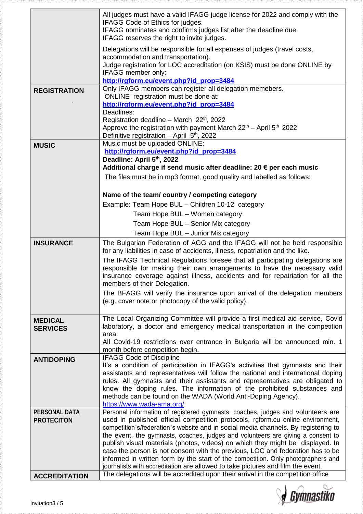|                      | All judges must have a valid IFAGG judge license for 2022 and comply with the<br>IFAGG Code of Ethics for judges.<br>IFAGG nominates and confirms judges list after the deadline due.<br>IFAGG reserves the right to invite judges.                                           |  |  |  |
|----------------------|-------------------------------------------------------------------------------------------------------------------------------------------------------------------------------------------------------------------------------------------------------------------------------|--|--|--|
|                      | Delegations will be responsible for all expenses of judges (travel costs,                                                                                                                                                                                                     |  |  |  |
|                      | accommodation and transportation).                                                                                                                                                                                                                                            |  |  |  |
|                      | Judge registration for LOC accreditation (on KSIS) must be done ONLINE by                                                                                                                                                                                                     |  |  |  |
|                      | IFAGG member only:                                                                                                                                                                                                                                                            |  |  |  |
|                      | http://rgform.eu/event.php?id_prop=3484                                                                                                                                                                                                                                       |  |  |  |
| <b>REGISTRATION</b>  | Only IFAGG members can register all delegation memebers.<br>ONLINE registration must be done at:                                                                                                                                                                              |  |  |  |
|                      | http://rgform.eu/event.php?id_prop=3484                                                                                                                                                                                                                                       |  |  |  |
|                      | Deadlines:                                                                                                                                                                                                                                                                    |  |  |  |
|                      | Registration deadline - March 22 <sup>th</sup> , 2022                                                                                                                                                                                                                         |  |  |  |
|                      | Approve the registration with payment March $22th$ – April $5th$ 2022                                                                                                                                                                                                         |  |  |  |
|                      | Definitive registration - April 5 <sup>th</sup> , 2022                                                                                                                                                                                                                        |  |  |  |
| <b>MUSIC</b>         | Music must be uploaded ONLINE:                                                                                                                                                                                                                                                |  |  |  |
|                      | http://rgform.eu/event.php?id_prop=3484                                                                                                                                                                                                                                       |  |  |  |
|                      | Deadline: April 5th, 2022                                                                                                                                                                                                                                                     |  |  |  |
|                      | Additional charge if send music after deadline: 20 € per each music                                                                                                                                                                                                           |  |  |  |
|                      | The files must be in mp3 format, good quality and labelled as follows:                                                                                                                                                                                                        |  |  |  |
|                      | Name of the team/ country / competing category                                                                                                                                                                                                                                |  |  |  |
|                      | Example: Team Hope BUL - Children 10-12 category                                                                                                                                                                                                                              |  |  |  |
|                      | Team Hope BUL - Women category                                                                                                                                                                                                                                                |  |  |  |
|                      |                                                                                                                                                                                                                                                                               |  |  |  |
|                      | Team Hope BUL - Senior Mix category                                                                                                                                                                                                                                           |  |  |  |
|                      | Team Hope BUL - Junior Mix category                                                                                                                                                                                                                                           |  |  |  |
| <b>INSURANCE</b>     | The Bulgarian Federation of AGG and the IFAGG will not be held responsible<br>for any liabilities in case of accidents, illness, repatriation and the like.                                                                                                                   |  |  |  |
|                      | The IFAGG Technical Regulations foresee that all participating delegations are<br>responsible for making their own arrangements to have the necessary valid<br>insurance coverage against illness, accidents and for repatriation for all the<br>members of their Delegation. |  |  |  |
|                      | The BFAGG will verify the insurance upon arrival of the delegation members<br>(e.g. cover note or photocopy of the valid policy).                                                                                                                                             |  |  |  |
| <b>MEDICAL</b>       | The Local Organizing Committee will provide a first medical aid service, Covid                                                                                                                                                                                                |  |  |  |
| <b>SERVICES</b>      | laboratory, a doctor and emergency medical transportation in the competition                                                                                                                                                                                                  |  |  |  |
|                      | area.                                                                                                                                                                                                                                                                         |  |  |  |
|                      | All Covid-19 restrictions over entrance in Bulgaria will be announced min. 1                                                                                                                                                                                                  |  |  |  |
|                      | month before competition begin.                                                                                                                                                                                                                                               |  |  |  |
| <b>ANTIDOPING</b>    | <b>IFAGG Code of Discipline</b>                                                                                                                                                                                                                                               |  |  |  |
|                      | It's a condition of participation in IFAGG's activities that gymnasts and their                                                                                                                                                                                               |  |  |  |
|                      | assistants and representatives will follow the national and international doping                                                                                                                                                                                              |  |  |  |
|                      | rules. All gymnasts and their assistants and representatives are obligated to<br>know the doping rules. The information of the prohibited substances and                                                                                                                      |  |  |  |
|                      | methods can be found on the WADA (World Anti-Doping Agency).                                                                                                                                                                                                                  |  |  |  |
|                      | https://www.wada-ama.org/                                                                                                                                                                                                                                                     |  |  |  |
| <b>PERSONAL DATA</b> | Personal information of registered gymnasts, coaches, judges and volunteers are                                                                                                                                                                                               |  |  |  |
| <b>PROTECITON</b>    | used in published official competition protocols, rgform.eu online environment,                                                                                                                                                                                               |  |  |  |
|                      | competition's/federation's website and in social media channels. By registering to                                                                                                                                                                                            |  |  |  |
|                      | the event, the gymnasts, coaches, judges and volunteers are giving a consent to                                                                                                                                                                                               |  |  |  |
|                      | publish visual materials (photos, videos) on which they might be displayed. In                                                                                                                                                                                                |  |  |  |
|                      | case the person is not consent with the previous, LOC and federation has to be                                                                                                                                                                                                |  |  |  |
|                      | informed in written form by the start of the competition. Only photographers and                                                                                                                                                                                              |  |  |  |
|                      | journalists with accreditation are allowed to take pictures and film the event.                                                                                                                                                                                               |  |  |  |
| <b>ACCREDITATION</b> | The delegations will be accredited upon their arrival in the competition office                                                                                                                                                                                               |  |  |  |

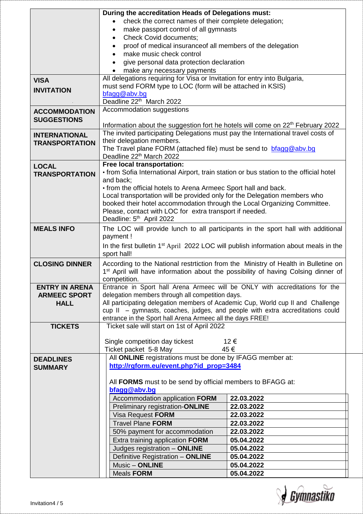|                                                             | During the accreditation Heads of Delegations must:<br>check the correct names of their complete delegation;<br>make passport control of all gymnasts<br><b>Check Covid documents;</b><br>$\bullet$<br>proof of medical insuranceof all members of the delegation<br>make music check control<br>give personal data protection declaration<br>make any necessary payments                                                                                                               |                                                                                                                                          |  |
|-------------------------------------------------------------|-----------------------------------------------------------------------------------------------------------------------------------------------------------------------------------------------------------------------------------------------------------------------------------------------------------------------------------------------------------------------------------------------------------------------------------------------------------------------------------------|------------------------------------------------------------------------------------------------------------------------------------------|--|
| <b>VISA</b><br><b>INVITATION</b>                            | All delegations requiring for Visa or Invitation for entry into Bulgaria,<br>must send FORM type to LOC (form will be attached in KSIS)<br>bfagg@abv.bg<br>Deadline 22th March 2022                                                                                                                                                                                                                                                                                                     |                                                                                                                                          |  |
| <b>ACCOMMODATION</b><br><b>SUGGESTIONS</b>                  | Accommodation suggestions                                                                                                                                                                                                                                                                                                                                                                                                                                                               |                                                                                                                                          |  |
| <b>INTERNATIONAL</b><br><b>TRANSPORTATION</b>               | Information about the suggestion fort he hotels will come on 22 <sup>th</sup> February 2022<br>The invited participating Delegations must pay the International travel costs of<br>their delegation members.<br>The Travel plane FORM (attached file) must be send to bragg@abv.bg<br>Deadline 22 <sup>th</sup> March 2022                                                                                                                                                              |                                                                                                                                          |  |
| <b>LOCAL</b><br><b>TRANSPORTATION</b>                       | Free local transportation:<br>• from Sofia International Airport, train station or bus station to the official hotel<br>and back;<br>• from the official hotels to Arena Armeec Sport hall and back.<br>Local transportation will be provided only for the Delegation members who<br>booked their hotel accommodation through the Local Organizing Committee.<br>Please, contact with LOC for extra transport if needed.<br>Deadline: 5 <sup>th</sup> April 2022                        |                                                                                                                                          |  |
| <b>MEALS INFO</b>                                           | The LOC will provide lunch to all participants in the sport hall with additional<br>payment!<br>In the first bulletin 1 <sup>st</sup> April 2022 LOC will publish information about meals in the<br>sport hall!                                                                                                                                                                                                                                                                         |                                                                                                                                          |  |
| <b>CLOSING DINNER</b>                                       | According to the National restrtiction from the Ministry of Health in Bulletine on<br>1 <sup>st</sup> April will have information about the possibility of having Colsing dinner of<br>competition.                                                                                                                                                                                                                                                                                     |                                                                                                                                          |  |
| <b>ENTRY IN ARENA</b><br><b>ARMEEC SPORT</b><br><b>HALL</b> | Entrance in Sport hall Arena Armeec will be ONLY with accreditations for the<br>delegation members through all competition days.<br>All participating delegation members of Academic Cup, World cup II and Challenge<br>cup II - gymnasts, coaches, judges, and people with extra accreditations could<br>entrance in the Sport hall Arena Armeec all the days FREE!                                                                                                                    |                                                                                                                                          |  |
| <b>TICKETS</b>                                              | Ticket sale will start on 1st of April 2022<br>Single competition day tickest<br>12€<br>Ticket packet 5-8 May<br>45€                                                                                                                                                                                                                                                                                                                                                                    |                                                                                                                                          |  |
| <b>DEADLINES</b><br><b>SUMMARY</b>                          | All ONLINE registrations must be done by IFAGG member at:<br>http://rgform.eu/event.php?id_prop=3484<br>All FORMS must to be send by official members to BFAGG at:<br>bfagg@abv.bg<br>Accommodation application FORM<br>Preliminary registration-ONLINE<br>Visa Request FORM<br><b>Travel Plane FORM</b><br>50% payment for accommodation<br>Extra training application FORM<br>Judges registration - ONLINE<br>Definitive Registration - ONLINE<br>Music - ONLINE<br><b>Meals FORM</b> | 22.03.2022<br>22.03.2022<br>22.03.2022<br>22.03.2022<br>22.03.2022<br>05.04.2022<br>05.04.2022<br>05.04.2022<br>05.04.2022<br>05.04.2022 |  |

**J** Gymnastiko